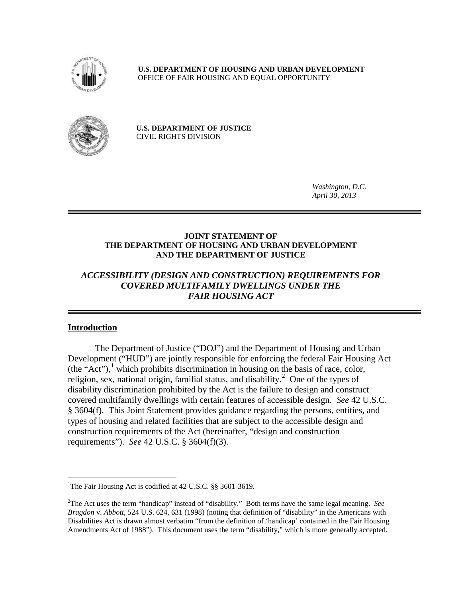

**U.S. DEPARTMENT OF HOUSING AND URBAN DEVELOPMENT** OFFICE OF FAIR HOUSING AND EQUAL OPPORTUNITY



**U.S. DEPARTMENT OF JUSTICE**  CIVIL RIGHTS DIVISION

> *Washington, D.C. April 30, 2013*

#### **JOINT STATEMENT OF THE DEPARTMENT OF HOUSING AND URBAN DEVELOPMENT AND THE DEPARTMENT OF JUSTICE**

## *ACCESSIBILITY (DESIGN AND CONSTRUCTION) REQUIREMENTS FOR COVERED MULTIFAMILY DWELLINGS UNDER THE FAIR HOUSING ACT*

### **Introduction**

The Department of Justice ("DOJ") and the Department of Housing and Urban Development ("HUD") are jointly responsible for enforcing the federal Fair Housing Act  $(the "Act")$ , which prohibits discrimination in housing on the basis of race, color, religion, sex, national origin, familial status, and disability.<sup>[2](#page-0-1)</sup> One of the types of disability discrimination prohibited by the Act is the failure to design and construct covered multifamily dwellings with certain features of accessible design. *See* 42 U.S.C. § 3604(f). This Joint Statement provides guidance regarding the persons, entities, and types of housing and related facilities that are subject to the accessible design and construction requirements of the Act (hereinafter, "design and construction requirements"). *See* 42 U.S.C. § 3604(f)(3).

<span id="page-0-0"></span> $\frac{1}{1}$ <sup>1</sup>The Fair Housing Act is codified at 42 U.S.C. §§ 3601-3619.

<span id="page-0-1"></span><sup>2</sup> The Act uses the term "handicap" instead of "disability." Both terms have the same legal meaning. *See Bragdon* v. *Abbott*, 524 U.S. 624, 631 (1998) (noting that definition of "disability" in the Americans with Disabilities Act is drawn almost verbatim "from the definition of 'handicap' contained in the Fair Housing Amendments Act of 1988"). This document uses the term "disability," which is more generally accepted.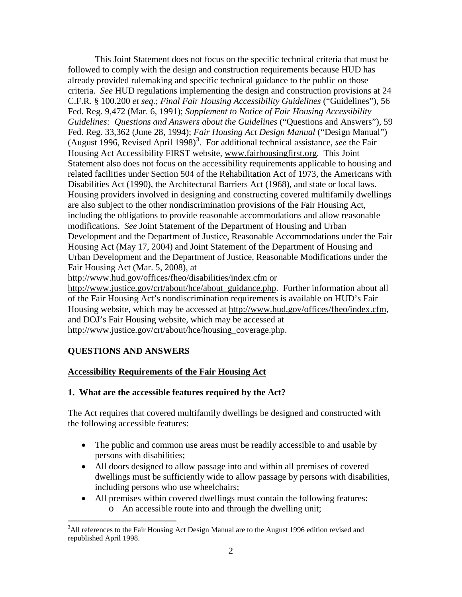This Joint Statement does not focus on the specific technical criteria that must be followed to comply with the design and construction requirements because HUD has already provided rulemaking and specific technical guidance to the public on those criteria. *See* HUD regulations implementing the design and construction provisions at 24 C.F.R. § 100.200 *et seq.*; *Final Fair Housing Accessibility Guidelines* ("Guidelines")*,* 56 Fed. Reg. 9,472 (Mar. 6, 1991); *Supplement to Notice of Fair Housing Accessibility Guidelines: Questions and Answers about the Guidelines* ("Questions and Answers")*,* 59 Fed. Reg. 33,362 (June 28, 1994); *Fair Housing Act Design Manual* ("Design Manual") (August 1996, Revised April 1998)<sup>[3](#page-1-0)</sup>. For additional technical assistance, see the Fair Housing Act Accessibility FIRST website, www.fairhousingfirst.org. This Joint Statement also does not focus on the accessibility requirements applicable to housing and related facilities under Section 504 of the Rehabilitation Act of 1973, the Americans with Disabilities Act (1990), the Architectural Barriers Act (1968), and state or local laws. Housing providers involved in designing and constructing covered multifamily dwellings are also subject to the other nondiscrimination provisions of the Fair Housing Act, including the obligations to provide reasonable accommodations and allow reasonable modifications. *See* Joint Statement of the Department of Housing and Urban Development and the Department of Justice, Reasonable Accommodations under the Fair Housing Act (May 17, 2004) and Joint Statement of the Department of Housing and Urban Development and the Department of Justice, Reasonable Modifications under the Fair Housing Act (Mar. 5, 2008), at

http://www.hud.gov/offices/fheo/disabilities/index.cfm or

http://www.justice.gov/crt/about/hce/about\_guidance.php. Further information about all of the Fair Housing Act's nondiscrimination requirements is available on HUD's Fair Housing website, which may be accessed at http://www.hud.gov/offices/fheo/index.cfm, and DOJ's Fair Housing website, which may be accessed at http://www.justice.gov/crt/about/hce/housing\_coverage.php.

## **QUESTIONS AND ANSWERS**

### **Accessibility Requirements of the Fair Housing Act**

### **1. What are the accessible features required by the Act?**

The Act requires that covered multifamily dwellings be designed and constructed with the following accessible features:

- The public and common use areas must be readily accessible to and usable by persons with disabilities;
- All doors designed to allow passage into and within all premises of covered dwellings must be sufficiently wide to allow passage by persons with disabilities, including persons who use wheelchairs;
- All premises within covered dwellings must contain the following features: o An accessible route into and through the dwelling unit;

<span id="page-1-0"></span><sup>&</sup>lt;sup>2</sup><br>3  ${}^{3}$ All references to the Fair Housing Act Design Manual are to the August 1996 edition revised and republished April 1998.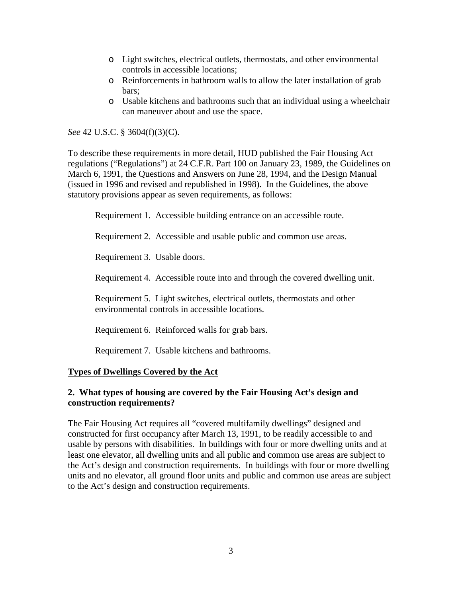- o Light switches, electrical outlets, thermostats, and other environmental controls in accessible locations;
- o Reinforcements in bathroom walls to allow the later installation of grab bars;
- o Usable kitchens and bathrooms such that an individual using a wheelchair can maneuver about and use the space.

*See* 42 U.S.C. § 3604(f)(3)(C).

To describe these requirements in more detail, HUD published the Fair Housing Act regulations ("Regulations") at 24 C.F.R. Part 100 on January 23, 1989, the Guidelines on March 6, 1991, the Questions and Answers on June 28, 1994, and the Design Manual (issued in 1996 and revised and republished in 1998). In the Guidelines, the above statutory provisions appear as seven requirements, as follows:

Requirement 1. Accessible building entrance on an accessible route.

Requirement 2. Accessible and usable public and common use areas.

Requirement 3. Usable doors.

Requirement 4. Accessible route into and through the covered dwelling unit.

Requirement 5. Light switches, electrical outlets, thermostats and other environmental controls in accessible locations.

Requirement 6. Reinforced walls for grab bars.

Requirement 7. Usable kitchens and bathrooms.

## **Types of Dwellings Covered by the Act**

## **2. What types of housing are covered by the Fair Housing Act's design and construction requirements?**

The Fair Housing Act requires all "covered multifamily dwellings" designed and constructed for first occupancy after March 13, 1991, to be readily accessible to and usable by persons with disabilities. In buildings with four or more dwelling units and at least one elevator, all dwelling units and all public and common use areas are subject to the Act's design and construction requirements. In buildings with four or more dwelling units and no elevator, all ground floor units and public and common use areas are subject to the Act's design and construction requirements.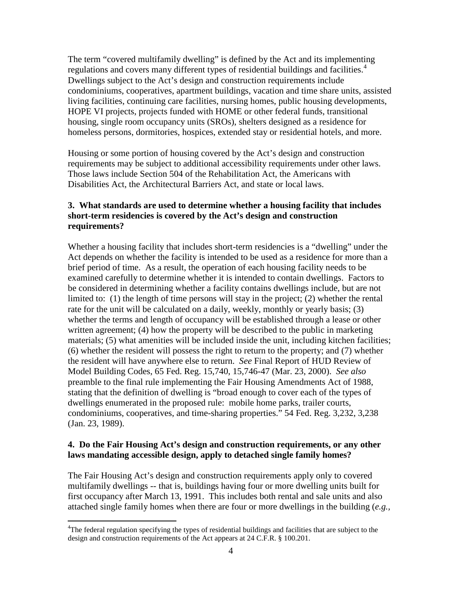The term "covered multifamily dwelling" is defined by the Act and its implementing regulations and covers many different types of residential buildings and facilities.<sup>[4](#page-3-0)</sup> Dwellings subject to the Act's design and construction requirements include condominiums, cooperatives, apartment buildings, vacation and time share units, assisted living facilities, continuing care facilities, nursing homes, public housing developments, HOPE VI projects, projects funded with HOME or other federal funds, transitional housing, single room occupancy units (SROs), shelters designed as a residence for homeless persons, dormitories, hospices, extended stay or residential hotels, and more.

Housing or some portion of housing covered by the Act's design and construction requirements may be subject to additional accessibility requirements under other laws. Those laws include Section 504 of the Rehabilitation Act, the Americans with Disabilities Act, the Architectural Barriers Act, and state or local laws.

## **3. What standards are used to determine whether a housing facility that includes short-term residencies is covered by the Act's design and construction requirements?**

Whether a housing facility that includes short-term residencies is a "dwelling" under the Act depends on whether the facility is intended to be used as a residence for more than a brief period of time. As a result, the operation of each housing facility needs to be examined carefully to determine whether it is intended to contain dwellings. Factors to be considered in determining whether a facility contains dwellings include, but are not limited to: (1) the length of time persons will stay in the project; (2) whether the rental rate for the unit will be calculated on a daily, weekly, monthly or yearly basis; (3) whether the terms and length of occupancy will be established through a lease or other written agreement; (4) how the property will be described to the public in marketing materials; (5) what amenities will be included inside the unit, including kitchen facilities; (6) whether the resident will possess the right to return to the property; and (7) whether the resident will have anywhere else to return. *See* Final Report of HUD Review of Model Building Codes, 65 Fed. Reg. 15,740, 15,746-47 (Mar. 23, 2000). *See also*  preamble to the final rule implementing the Fair Housing Amendments Act of 1988, stating that the definition of dwelling is "broad enough to cover each of the types of dwellings enumerated in the proposed rule: mobile home parks, trailer courts, condominiums, cooperatives, and time-sharing properties." 54 Fed. Reg. 3,232, 3,238 (Jan. 23, 1989).

## **4. Do the Fair Housing Act's design and construction requirements, or any other laws mandating accessible design, apply to detached single family homes?**

The Fair Housing Act's design and construction requirements apply only to covered multifamily dwellings -- that is, buildings having four or more dwelling units built for first occupancy after March 13, 1991. This includes both rental and sale units and also attached single family homes when there are four or more dwellings in the building (*e.g.,*

<span id="page-3-0"></span> $\frac{1}{4}$ <sup>4</sup>The federal regulation specifying the types of residential buildings and facilities that are subject to the design and construction requirements of the Act appears at 24 C.F.R. § 100.201.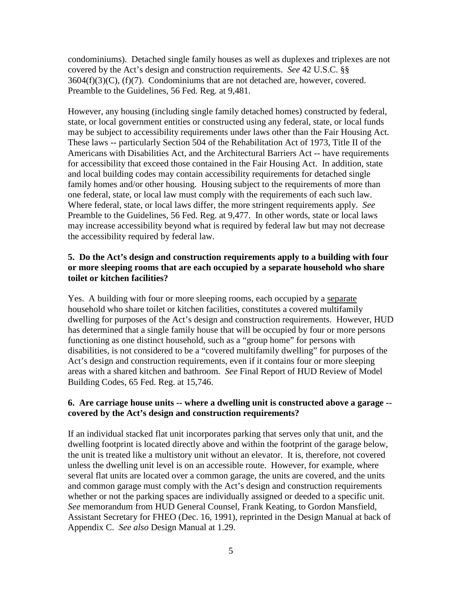condominiums). Detached single family houses as well as duplexes and triplexes are not covered by the Act's design and construction requirements. *See* 42 U.S.C. §§  $3604(f)(3)(C)$ ,  $(f)(7)$ . Condominiums that are not detached are, however, covered. Preamble to the Guidelines, 56 Fed. Reg. at 9,481.

However, any housing (including single family detached homes) constructed by federal, state, or local government entities or constructed using any federal, state, or local funds may be subject to accessibility requirements under laws other than the Fair Housing Act. These laws -- particularly Section 504 of the Rehabilitation Act of 1973, Title II of the Americans with Disabilities Act, and the Architectural Barriers Act -- have requirements for accessibility that exceed those contained in the Fair Housing Act. In addition, state and local building codes may contain accessibility requirements for detached single family homes and/or other housing. Housing subject to the requirements of more than one federal, state, or local law must comply with the requirements of each such law. Where federal, state, or local laws differ, the more stringent requirements apply. *See* Preamble to the Guidelines, 56 Fed. Reg. at 9,477. In other words, state or local laws may increase accessibility beyond what is required by federal law but may not decrease the accessibility required by federal law.

### **5. Do the Act's design and construction requirements apply to a building with four or more sleeping rooms that are each occupied by a separate household who share toilet or kitchen facilities?**

Yes. A building with four or more sleeping rooms, each occupied by a separate household who share toilet or kitchen facilities, constitutes a covered multifamily dwelling for purposes of the Act's design and construction requirements. However, HUD has determined that a single family house that will be occupied by four or more persons functioning as one distinct household, such as a "group home" for persons with disabilities, is not considered to be a "covered multifamily dwelling" for purposes of the Act's design and construction requirements, even if it contains four or more sleeping areas with a shared kitchen and bathroom. *See* Final Report of HUD Review of Model Building Codes, 65 Fed. Reg. at 15,746.

### **6. Are carriage house units -- where a dwelling unit is constructed above a garage - covered by the Act's design and construction requirements?**

If an individual stacked flat unit incorporates parking that serves only that unit, and the dwelling footprint is located directly above and within the footprint of the garage below, the unit is treated like a multistory unit without an elevator. It is, therefore, not covered unless the dwelling unit level is on an accessible route. However, for example, where several flat units are located over a common garage, the units are covered, and the units and common garage must comply with the Act's design and construction requirements whether or not the parking spaces are individually assigned or deeded to a specific unit. *See* memorandum from HUD General Counsel, Frank Keating, to Gordon Mansfield, Assistant Secretary for FHEO (Dec. 16, 1991), reprinted in the Design Manual at back of Appendix C. *See also* Design Manual at 1.29.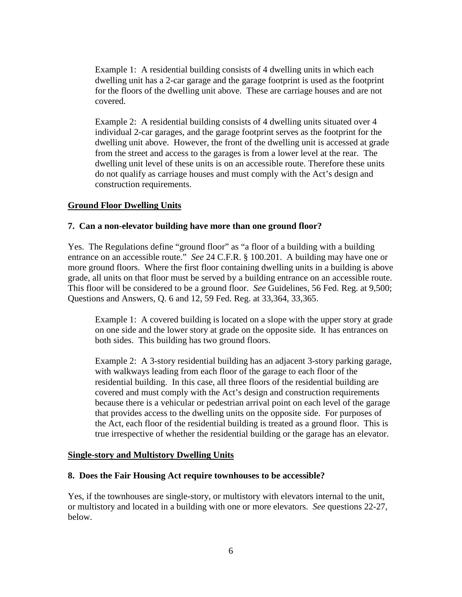Example 1: A residential building consists of 4 dwelling units in which each dwelling unit has a 2-car garage and the garage footprint is used as the footprint for the floors of the dwelling unit above. These are carriage houses and are not covered.

Example 2: A residential building consists of 4 dwelling units situated over 4 individual 2-car garages, and the garage footprint serves as the footprint for the dwelling unit above. However, the front of the dwelling unit is accessed at grade from the street and access to the garages is from a lower level at the rear. The dwelling unit level of these units is on an accessible route. Therefore these units do not qualify as carriage houses and must comply with the Act's design and construction requirements.

## **Ground Floor Dwelling Units**

### **7. Can a non-elevator building have more than one ground floor?**

Yes. The Regulations define "ground floor" as "a floor of a building with a building entrance on an accessible route." *See* 24 C.F.R. § 100.201. A building may have one or more ground floors. Where the first floor containing dwelling units in a building is above grade, all units on that floor must be served by a building entrance on an accessible route. This floor will be considered to be a ground floor. *See* Guidelines, 56 Fed. Reg. at 9,500; Questions and Answers, Q. 6 and 12, 59 Fed. Reg. at 33,364, 33,365.

Example 1: A covered building is located on a slope with the upper story at grade on one side and the lower story at grade on the opposite side. It has entrances on both sides. This building has two ground floors.

Example 2: A 3-story residential building has an adjacent 3-story parking garage, with walkways leading from each floor of the garage to each floor of the residential building. In this case, all three floors of the residential building are covered and must comply with the Act's design and construction requirements because there is a vehicular or pedestrian arrival point on each level of the garage that provides access to the dwelling units on the opposite side. For purposes of the Act, each floor of the residential building is treated as a ground floor. This is true irrespective of whether the residential building or the garage has an elevator.

#### **Single-story and Multistory Dwelling Units**

#### **8. Does the Fair Housing Act require townhouses to be accessible?**

Yes, if the townhouses are single-story, or multistory with elevators internal to the unit, or multistory and located in a building with one or more elevators. *See* questions 22-27, below.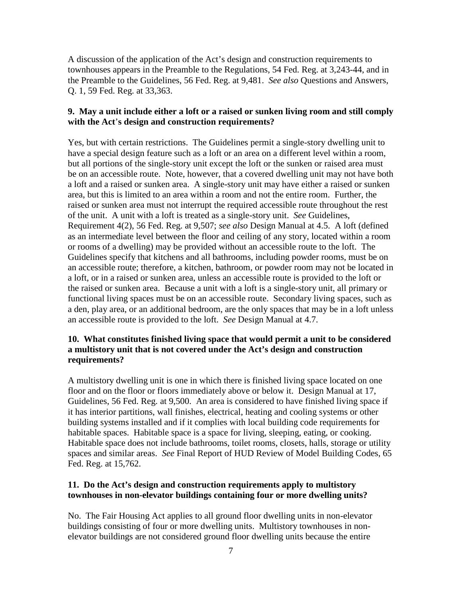A discussion of the application of the Act's design and construction requirements to townhouses appears in the [Preamble to the Regulations, 54 Fed. Reg. at](http://www.huduser.org/publications/destech/fairhousing.html) 3,243-44, and in the [Preamble to the Guidelines,](http://www.hud.gov/library/bookshelf09/fhefhag.cfm) 56 Fed. Reg. at 9,481. *See also* Questions and Answers, Q. 1, 59 Fed. Reg. at 33,363.

### **9. May a unit include either a loft or a raised or sunken living room and still comply with the Act**'**s design and construction requirements?**

Yes, but with certain restrictions. The Guidelines permit a single-story dwelling unit to have a special design feature such as a loft or an area on a different level within a room, but all portions of the single-story unit except the loft or the sunken or raised area must be on an accessible route. Note, however, that a covered dwelling unit may not have both a loft and a raised or sunken area. A single-story unit may have either a raised or sunken area, but this is limited to an area within a room and not the entire room. Further, the raised or sunken area must not interrupt the required accessible route throughout the rest of the unit. A unit with a loft is treated as a single-story unit. *See* Guidelines, Requirement 4(2), 56 Fed. Reg. at 9,507; *see also* [Design Manual at 4.5](http://www.huduser.org/publications/destech/fairhousing.html). A loft (defined as an intermediate level between the floor and ceiling of any story, located within a room or rooms of a dwelling) may be provided without an accessible route to the loft. The Guidelines specify that kitchens and all bathrooms, including powder rooms, must be on an accessible route; therefore, a kitchen, bathroom, or powder room may not be located in a loft, or in a raised or sunken area, unless an accessible route is provided to the loft or the raised or sunken area. Because a unit with a loft is a single-story unit, all primary or functional living spaces must be on an accessible route. Secondary living spaces, such as a den, play area, or an additional bedroom, are the only spaces that may be in a loft unless an accessible route is provided to the loft. *See* [Design Manual](http://www.huduser.org/publications/destech/fairhousing.html) at 4.7.

## **10. What constitutes finished living space that would permit a unit to be considered a multistory unit that is not covered under the Act's design and construction requirements?**

A multistory dwelling unit is one in which there is finished living space located on one floor and on the floor or floors immediately above or below it. Design Manual at 17, Guidelines, 56 Fed. Reg. at 9,500. An area is considered to have finished living space if it has interior partitions, wall finishes, electrical, heating and cooling systems or other building systems installed and if it complies with local building code requirements for habitable spaces. Habitable space is a space for living, sleeping, eating, or cooking. Habitable space does not include bathrooms, toilet rooms, closets, halls, storage or utility spaces and similar areas. *See* Final Report of HUD Review of Model Building Codes, 65 Fed. Reg. at 15,762.

### **11. Do the Act's design and construction requirements apply to multistory townhouses in non-elevator buildings containing four or more dwelling units?**

No. The Fair Housing Act applies to all ground floor dwelling units in non-elevator buildings consisting of four or more dwelling units. Multistory townhouses in nonelevator buildings are not considered ground floor dwelling units because the entire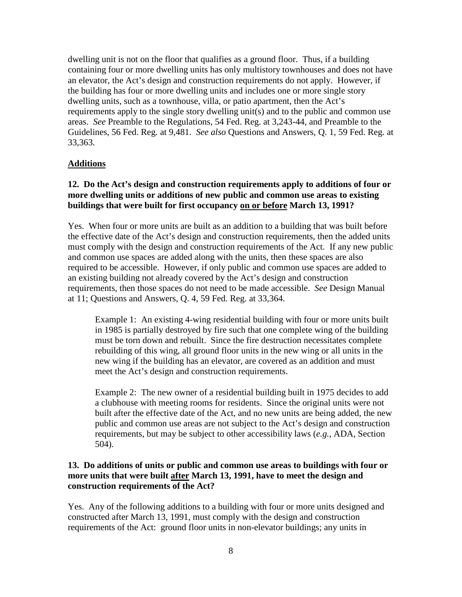dwelling unit is not on the floor that qualifies as a ground floor. Thus, if a building containing four or more dwelling units has only multistory townhouses and does not have an elevator, the Act's design and construction requirements do not apply. However, if the building has four or more dwelling units and includes one or more single story dwelling units, such as a townhouse, villa, or patio apartment, then the Act's requirements apply to the single story dwelling unit(s) and to the public and common use areas. *See* [Preamble to the Regulations, 54 Fed. Reg. at](http://www.huduser.org/publications/destech/fairhousing.html) 3,243-44, and [Preamble to the](http://www.hud.gov/library/bookshelf09/fhefhag.cfm)  Guidelines, [56 Fed. Reg. at](http://www.hud.gov/library/bookshelf09/fhefhag.cfm) 9,481. *See also* Questions and Answers, Q. 1, 59 Fed. Reg. at 33,363.

### **Additions**

## **12. Do the Act's design and construction requirements apply to additions of four or more dwelling units or additions of new public and common use areas to existing buildings that were built for first occupancy on or before March 13, 1991?**

Yes. When four or more units are built as an addition to a building that was built before the effective date of the Act's design and construction requirements, then the added units must comply with the design and construction requirements of the Act. If any new public and common use spaces are added along with the units, then these spaces are also required to be accessible. However, if only public and common use spaces are added to an existing building not already covered by the Act's design and construction requirements, then those spaces do not need to be made accessible. *See* [Design Manual](http://www.huduser.org/publications/destech/fairhousing.html) at [11;](http://www.huduser.org/publications/destech/fairhousing.html) Questions and Answers, Q. 4, 59 Fed. Reg. at 33,364.

Example 1: An existing 4-wing residential building with four or more units built in 1985 is partially destroyed by fire such that one complete wing of the building must be torn down and rebuilt. Since the fire destruction necessitates complete rebuilding of this wing, all ground floor units in the new wing or all units in the new wing if the building has an elevator, are covered as an addition and must meet the Act's design and construction requirements.

Example 2: The new owner of a residential building built in 1975 decides to add a clubhouse with meeting rooms for residents. Since the original units were not built after the effective date of the Act, and no new units are being added, the new public and common use areas are not subject to the Act's design and construction requirements, but may be subject to other accessibility laws (*e.g.*, ADA, Section 504).

## **13. Do additions of units or public and common use areas to buildings with four or more units that were built after March 13, 1991, have to meet the design and construction requirements of the Act?**

Yes. Any of the following additions to a building with four or more units designed and constructed after March 13, 1991, must comply with the design and construction requirements of the Act: ground floor units in non-elevator buildings; any units in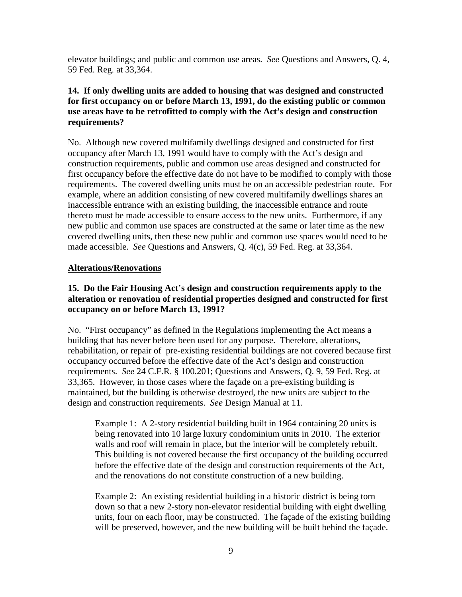elevator buildings; and public and common use areas. *See* Questions and Answers, Q. 4, 59 Fed. Reg. at 33,364.

## **14. If only dwelling units are added to housing that was designed and constructed for first occupancy on or before March 13, 1991, do the existing public or common use areas have to be retrofitted to comply with the Act's design and construction requirements?**

No. Although new covered multifamily dwellings designed and constructed for first occupancy after March 13, 1991 would have to comply with the Act's design and construction requirements, public and common use areas designed and constructed for first occupancy before the effective date do not have to be modified to comply with those requirements. The covered dwelling units must be on an accessible pedestrian route. For example, where an addition consisting of new covered multifamily dwellings shares an inaccessible entrance with an existing building, the inaccessible entrance and route thereto must be made accessible to ensure access to the new units. Furthermore, if any new public and common use spaces are constructed at the same or later time as the new covered dwelling units, then these new public and common use spaces would need to be made accessible. *See* Questions and Answers, Q. 4(c), 59 Fed. Reg. at 33,364.

### **Alterations/Renovations**

## **15. Do the Fair Housing Act**'**s design and construction requirements apply to the alteration or renovation of residential properties designed and constructed for first occupancy on or before March 13, 1991?**

No. "First occupancy" as defined in the Regulations implementing the Act means a building that has never before been used for any purpose. Therefore, alterations, rehabilitation, or repair of pre-existing residential buildings are not covered because first occupancy occurred before the effective date of the Act's design and construction requirements. *See* 24 C.F.R. § 100.201; Questions and Answers, Q. 9, 59 Fed. Reg. at 33,365. However, in those cases where the façade on a pre-existing building is maintained, but the building is otherwise destroyed, the new units are subject to the design and construction requirements. *See* Design Manual at 11.

Example 1: A 2-story residential building built in 1964 containing 20 units is being renovated into 10 large luxury condominium units in 2010. The exterior walls and roof will remain in place, but the interior will be completely rebuilt. This building is not covered because the first occupancy of the building occurred before the effective date of the design and construction requirements of the Act, and the renovations do not constitute construction of a new building.

Example 2: An existing residential building in a historic district is being torn down so that a new 2-story non-elevator residential building with eight dwelling units, four on each floor, may be constructed. The façade of the existing building will be preserved, however, and the new building will be built behind the facade.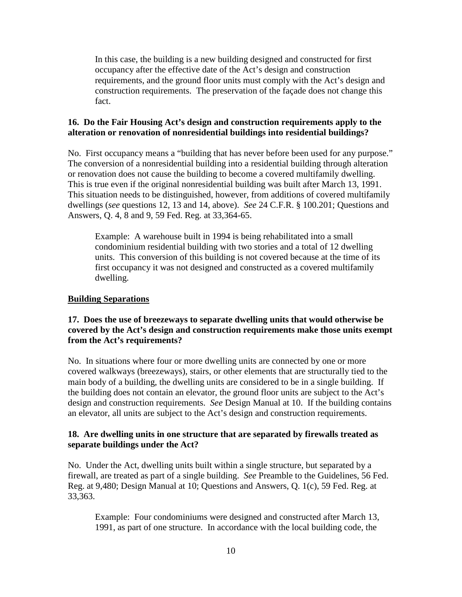In this case, the building is a new building designed and constructed for first occupancy after the effective date of the Act's design and construction requirements, and the ground floor units must comply with the Act's design and construction requirements. The preservation of the façade does not change this fact.

## **16. Do the Fair Housing Act's design and construction requirements apply to the alteration or renovation of nonresidential buildings into residential buildings?**

No. First occupancy means a "building that has never before been used for any purpose." The conversion of a nonresidential building into a residential building through alteration or renovation does not cause the building to become a covered multifamily dwelling. This is true even if the original nonresidential building was built after March 13, 1991. This situation needs to be distinguished, however, from additions of covered multifamily dwellings (*see* questions 12, 13 and 14, above). *See* 24 C.F.R. § 100.201; Questions and Answers, Q. 4, 8 and 9, 59 Fed. Reg. at 33,364-65.

Example: A warehouse built in 1994 is being rehabilitated into a small condominium residential building with two stories and a total of 12 dwelling units. This conversion of this building is not covered because at the time of its first occupancy it was not designed and constructed as a covered multifamily dwelling.

### **Building Separations**

## **17. Does the use of breezeways to separate dwelling units that would otherwise be covered by the Act's design and construction requirements make those units exempt from the Act's requirements?**

No. In situations where four or more dwelling units are connected by one or more covered walkways (breezeways), stairs, or other elements that are structurally tied to the main body of a building, the dwelling units are considered to be in a single building. If the building does not contain an elevator, the ground floor units are subject to the Act's design and construction requirements. *See* [Design Manual](http://www.huduser.org/publications/destech/fairhousing.html) at 10. If the building contains an elevator, all units are subject to the Act's design and construction requirements.

## **18. Are dwelling units in one structure that are separated by firewalls treated as separate buildings under the Act?**

No. Under the Act, dwelling units built within a single structure, but separated by a firewall, are treated as part of a single building. *See* Preamble [to the Guidelines, 56 Fed.](http://www.hud.gov/library/bookshelf09/fhefhag.cfm)  Reg. at [9,480;](http://www.hud.gov/library/bookshelf09/fhefhag.cfm) [Design Manual at](http://www.huduser.org/publications/destech/fairhousing.html) 10; Questions and Answers, Q. 1(c), 59 Fed. Reg. at 33,363.

Example: Four condominiums were designed and constructed after March 13, 1991, as part of one structure. In accordance with the local building code, the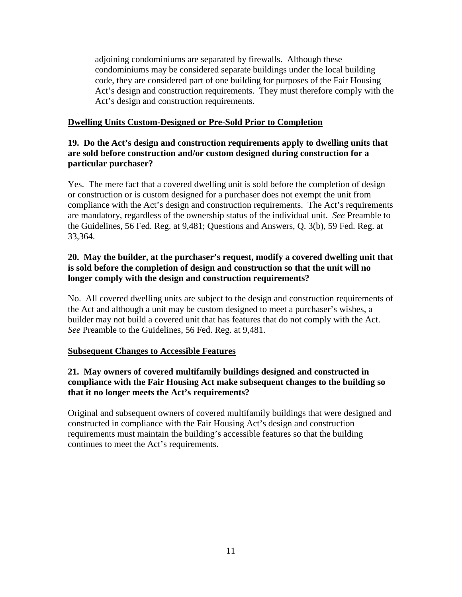adjoining condominiums are separated by firewalls. Although these condominiums may be considered separate buildings under the local building code, they are considered part of one building for purposes of the Fair Housing Act's design and construction requirements. They must therefore comply with the Act's design and construction requirements.

## **Dwelling Units Custom-Designed or Pre-Sold Prior to Completion**

## **19. Do the Act's design and construction requirements apply to dwelling units that are sold before construction and/or custom designed during construction for a particular purchaser?**

Yes. The mere fact that a covered dwelling unit is sold before the completion of design or construction or is custom designed for a purchaser does not exempt the unit from compliance with the Act's design and construction requirements. The Act's requirements are mandatory, regardless of the ownership status of the individual unit. *See* [Preamble](http://www.hud.gov/library/bookshelf09/fhefhag.cfm) to [the Guidelines, 56 Fed. Reg.](http://www.hud.gov/library/bookshelf09/fhefhag.cfm) at 9,481; [Questions and Answers,](http://www.hud.gov/fhe/fhefhasp.html) Q. 3(b), 59 Fed. Reg. at 33,364.

## **20. May the builder, at the purchaser's request, modify a covered dwelling unit that is sold before the completion of design and construction so that the unit will no longer comply with the design and construction requirements?**

No. All covered dwelling units are subject to the design and construction requirements of the Act and although a unit may be custom designed to meet a purchaser's wishes, a builder may not build a covered unit that has features that do not comply with the Act. *See* Preamble to the Guidelines, 56 Fed. Reg. at 9,481.

## **Subsequent Changes to Accessible Features**

## **21. May owners of covered multifamily buildings designed and constructed in compliance with the Fair Housing Act make subsequent changes to the building so that it no longer meets the Act's requirements?**

Original and subsequent owners of covered multifamily buildings that were designed and constructed in compliance with the Fair Housing Act's design and construction requirements must maintain the building's accessible features so that the building continues to meet the Act's requirements.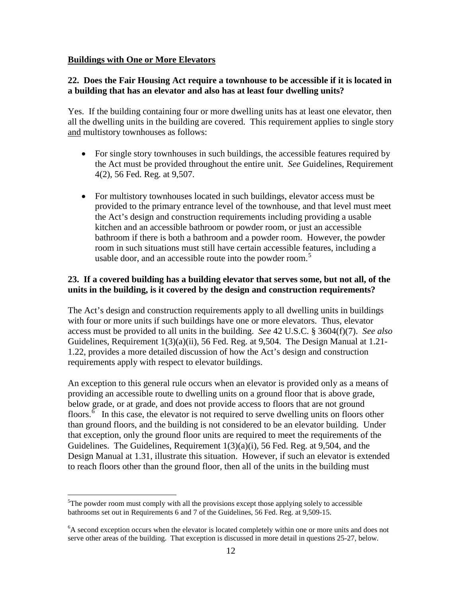### **Buildings with One or More Elevators**

### **22. Does the Fair Housing Act require a townhouse to be accessible if it is located in a building that has an elevator and also has at least four dwelling units?**

Yes. If the building containing four or more dwelling units has at least one elevator, then all the dwelling units in the building are covered. This requirement applies to single story and multistory townhouses as follows:

- For single story townhouses in such buildings, the accessible features required by the Act must be provided throughout the entire unit. *See* Guidelines, Requirement 4(2), 56 Fed. Reg. at 9,507.
- For multistory townhouses located in such buildings, elevator access must be provided to the primary entrance level of the townhouse, and that level must meet the Act's design and construction requirements including providing a usable kitchen and an accessible bathroom or powder room, or just an accessible bathroom if there is both a bathroom and a powder room. However, the powder room in such situations must still have certain accessible features, including a usable door, and an accessible route into the powder room.<sup>[5](#page-11-0)</sup>

## **23. If a covered building has a building elevator that serves some, but not all, of the units in the building, is it covered by the design and construction requirements?**

The Act's design and construction requirements apply to all dwelling units in buildings with four or more units if such buildings have one or more elevators. Thus, elevator access must be provided to all units in the building. *See* 42 U.S.C. § 3604(f)(7). *See also* Guidelines, Requirement 1(3)(a)(ii), 56 Fed. Reg. at 9,504. The [Design Manual at](http://www.huduser.org/publications/destech/fairhousing.html) 1.21- [1.22,](http://www.huduser.org/publications/destech/fairhousing.html) provides a more detailed discussion of how the Act's design and construction requirements apply with respect to elevator buildings.

An exception to this general rule occurs when an elevator is provided only as a means of providing an accessible route to dwelling units on a ground floor that is above grade, below grade, or at grade, and does not provide access to floors that are not ground floors.<sup> $\delta$ </sup> In this case, the elevator is not required to serve dwelling units on floors other [Design Manual](http://www.huduser.org/publications/destech/fairhousing.html) at 1.31 , illustrate this situation. However, if such an elevator is extended than ground floors, and the building is not considered to be an elevator building. Under that exception, only the ground floor units are required to meet the requirements of the Guidelines. The Guidelines, Requirement 1(3)(a)(i), 56 Fed. Reg. at 9,504, and the to reach floors other than the ground floor, then all of the units in the building must

<span id="page-11-0"></span> <sup>5</sup>  $5$ The powder room must comply with all the provisions except those applying solely to accessible bathrooms set out in Requirements 6 and 7 of the Guidelines, 56 Fed. Reg. at 9,509-15.

<span id="page-11-1"></span><sup>&</sup>lt;sup>6</sup>A second exception occurs when the elevator is located completely within one or more units and does not serve other areas of the building. That exception is discussed in more detail in questions 25-27, below.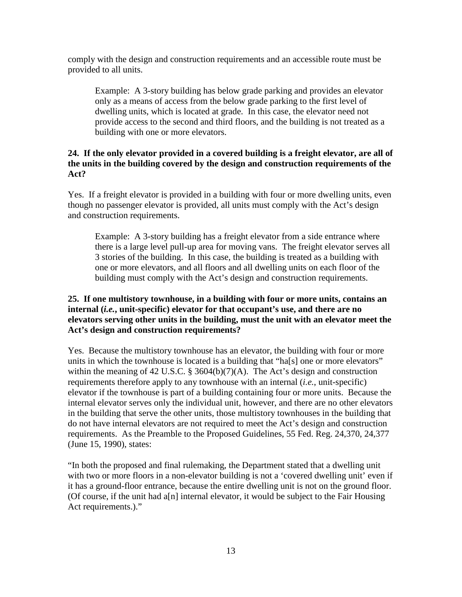comply with the design and construction requirements and an accessible route must be provided to all units.

Example: A 3-story building has below grade parking and provides an elevator only as a means of access from the below grade parking to the first level of dwelling units, which is located at grade. In this case, the elevator need not provide access to the second and third floors, and the building is not treated as a building with one or more elevators.

## **24. If the only elevator provided in a covered building is a freight elevator, are all of the units in the building covered by the design and construction requirements of the Act?**

Yes. If a freight elevator is provided in a building with four or more dwelling units, even though no passenger elevator is provided, all units must comply with the Act's design and construction requirements.

Example: A 3-story building has a freight elevator from a side entrance where there is a large level pull-up area for moving vans. The freight elevator serves all 3 stories of the building. In this case, the building is treated as a building with one or more elevators, and all floors and all dwelling units on each floor of the building must comply with the Act's design and construction requirements.

## **25. If one multistory townhouse, in a building with four or more units, contains an internal (***i.e.***, unit-specific) elevator for that occupant's use, and there are no elevators serving other units in the building, must the unit with an elevator meet the Act's design and construction requirements?**

Yes. Because the multistory townhouse has an elevator, the building with four or more units in which the townhouse is located is a building that "ha[s] one or more elevators" within the meaning of 42 U.S.C. § 3604(b)(7)(A). The Act's design and construction requirements therefore apply to any townhouse with an internal (*i.e.*, unit-specific) elevator if the townhouse is part of a building containing four or more units. Because the internal elevator serves only the individual unit, however, and there are no other elevators in the building that serve the other units, those multistory townhouses in the building that do not have internal elevators are not required to meet the Act's design and construction requirements. As the Preamble to the Proposed Guidelines, 55 Fed. Reg. 24,370, 24,377 (June 15, 1990), states:

"In both the proposed and final rulemaking, the Department stated that a dwelling unit with two or more floors in a non-elevator building is not a 'covered dwelling unit' even if it has a ground-floor entrance, because the entire dwelling unit is not on the ground floor. (Of course, if the unit had a[n] internal elevator, it would be subject to the Fair Housing Act requirements.)."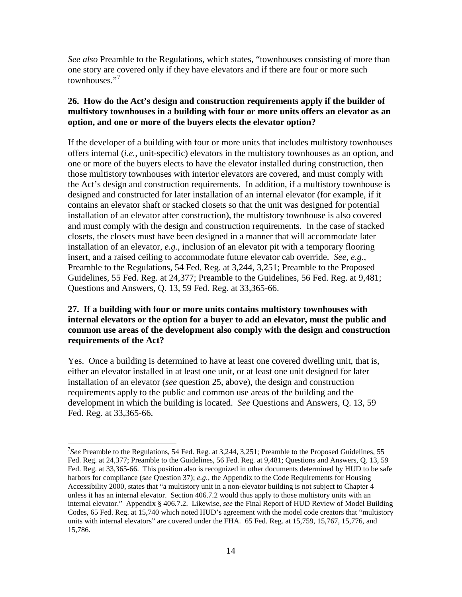*See also* Preamble to the Regulations, which states, "townhouses consisting of more than one story are covered only if they have elevators and if there are four or more such townhouses."<sup>[7](#page-13-0)</sup>

## **26. How do the Act's design and construction requirements apply if the builder of multistory townhouses in a building with four or more units offers an elevator as an option, and one or more of the buyers elects the elevator option?**

If the developer of a building with four or more units that includes multistory townhouses offers internal (*i.e.,* unit-specific) elevators in the multistory townhouses as an option, and one or more of the buyers elects to have the elevator installed during construction, then those multistory townhouses with interior elevators are covered, and must comply with the Act's design and construction requirements. In addition, if a multistory townhouse is designed and constructed for later installation of an internal elevator (for example, if it contains an elevator shaft or stacked closets so that the unit was designed for potential installation of an elevator after construction), the multistory townhouse is also covered and must comply with the design and construction requirements. In the case of stacked closets, the closets must have been designed in a manner that will accommodate later installation of an elevator, *e.g.*, inclusion of an elevator pit with a temporary flooring insert, and a raised ceiling to accommodate future elevator cab override. *See*, *e.g.*, Preamble to the Regulations, 54 Fed. Reg. at 3,244, 3,251; Preamble to the Proposed Guidelines, 55 Fed. Reg. at 24,377; Preamble to the Guidelines, 56 Fed. Reg. at 9,481; Questions and Answers, Q. 13, 59 Fed. Reg. at 33,365-66.

## **27. If a building with four or more units contains multistory townhouses with internal elevators or the option for a buyer to add an elevator, must the public and common use areas of the development also comply with the design and construction requirements of the Act?**

Yes. Once a building is determined to have at least one covered dwelling unit, that is, either an elevator installed in at least one unit, or at least one unit designed for later installation of an elevator (*see* question 25, above), the design and construction requirements apply to the public and common use areas of the building and the development in which the building is located. *See* Questions and Answers, Q. 13, 59 Fed. Reg. at 33,365-66.

<span id="page-13-0"></span><sup>-&</sup>lt;br>7 <sup>7</sup>See Preamble to the Regulations, 54 Fed. Reg. at 3,244, 3,251; Preamble to the Proposed Guidelines, 55 Fed. Reg. at 24,377; Preamble to the Guidelines, 56 Fed. Reg. at 9,481; Questions and Answers, Q. 13, 59 Fed. Reg. at 33,365-66. This position also is recognized in other documents determined by HUD to be safe harbors for compliance (*see* Question 37); *e.g.*, the Appendix to the Code Requirements for Housing Accessibility 2000, states that "a multistory unit in a non-elevator building is not subject to Chapter 4 unless it has an internal elevator. Section 406.7.2 would thus apply to those multistory units with an internal elevator." Appendix § 406.7.2. Likewise, *see* the Final Report of HUD Review of Model Building Codes, 65 Fed. Reg. at 15,740 which noted HUD's agreement with the model code creators that "multistory units with internal elevators" are covered under the FHA. 65 Fed. Reg. at 15,759, 15,767, 15,776, and 15,786.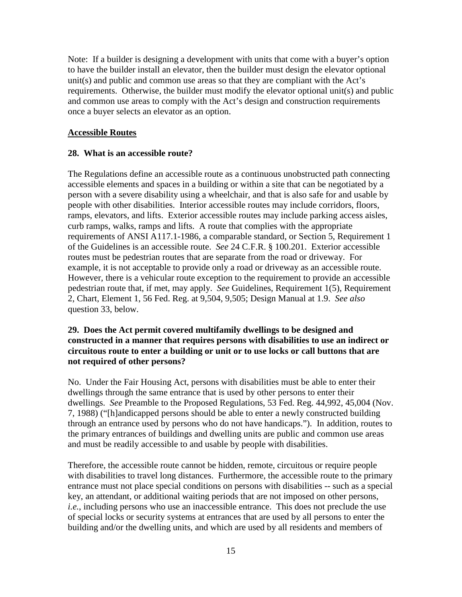Note: If a builder is designing a development with units that come with a buyer's option to have the builder install an elevator, then the builder must design the elevator optional unit(s) and public and common use areas so that they are compliant with the Act's requirements. Otherwise, the builder must modify the elevator optional unit(s) and public and common use areas to comply with the Act's design and construction requirements once a buyer selects an elevator as an option.

#### **Accessible Routes**

#### **28. What is an accessible route?**

The Regulations define an accessible route as a continuous unobstructed path connecting accessible elements and spaces in a building or within a site that can be negotiated by a person with a severe disability using a wheelchair, and that is also safe for and usable by people with other disabilities. Interior accessible routes may include corridors, floors, ramps, elevators, and lifts. Exterior accessible routes may include parking access aisles, curb ramps, walks, ramps and lifts. A route that complies with the appropriate requirements of ANSI A117.1-1986, a comparable standard, or Section 5, Requirement 1 of the Guidelines is an accessible route. *See* 24 C.F.R. § 100.201. Exterior accessible routes must be pedestrian routes that are separate from the road or driveway. For example, it is not acceptable to provide only a road or driveway as an accessible route. However, there is a vehicular route exception to the requirement to provide an accessible pedestrian route that, if met, may apply. *See* Guidelines, Requirement 1(5), Requirement 2, Chart, Element 1, 56 Fed. Reg. at 9,504, 9,505; Design Manual at 1.9. *See also*  question 33, below.

### **29. Does the Act permit covered multifamily dwellings to be designed and constructed in a manner that requires persons with disabilities to use an indirect or circuitous route to enter a building or unit or to use locks or call buttons that are not required of other persons?**

No. Under the Fair Housing Act, persons with disabilities must be able to enter their dwellings through the same entrance that is used by other persons to enter their dwellings. *See* Preamble to the Proposed Regulations, 53 Fed. Reg. 44,992, 45,004 (Nov. 7, 1988) ("[h]andicapped persons should be able to enter a newly constructed building through an entrance used by persons who do not have handicaps."). In addition, routes to the primary entrances of buildings and dwelling units are public and common use areas and must be readily accessible to and usable by people with disabilities.

Therefore, the accessible route cannot be hidden, remote, circuitous or require people with disabilities to travel long distances. Furthermore, the accessible route to the primary entrance must not place special conditions on persons with disabilities -- such as a special key, an attendant, or additional waiting periods that are not imposed on other persons, *i.e.*, including persons who use an inaccessible entrance. This does not preclude the use of special locks or security systems at entrances that are used by all persons to enter the building and/or the dwelling units, and which are used by all residents and members of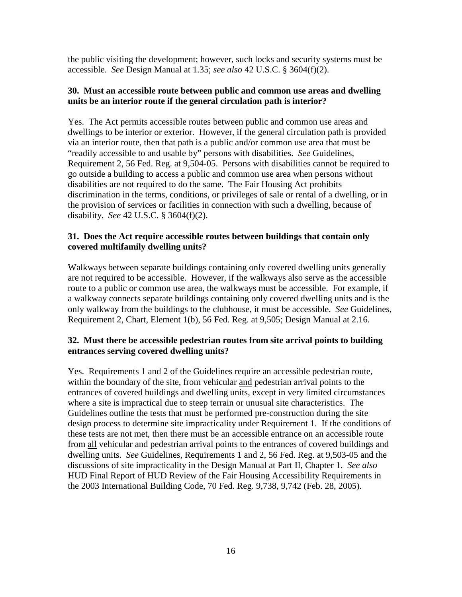the public visiting the development; however, such locks and security systems must be accessible. *See* Design Manual at 1.35; *see also* 42 U.S.C. § 3604(f)(2).

### **30. Must an accessible route between public and common use areas and dwelling units be an interior route if the general circulation path is interior?**

Yes. The Act permits accessible routes between public and common use areas and dwellings to be interior or exterior. However, if the general circulation path is provided via an interior route, then that path is a public and/or common use area that must be "readily accessible to and usable by" persons with disabilities. *See* Guidelines, Requirement 2, 56 Fed. Reg. at 9,504-05. Persons with disabilities cannot be required to go outside a building to access a public and common use area when persons without disabilities are not required to do the same. The Fair Housing Act prohibits discrimination in the terms, conditions, or privileges of sale or rental of a dwelling, or in the provision of services or facilities in connection with such a dwelling, because of disability. *See* 42 U.S.C. § 3604(f)(2).

## **31. Does the Act require accessible routes between buildings that contain only covered multifamily dwelling units?**

Walkways between separate buildings containing only covered dwelling units generally are not required to be accessible. However, if the walkways also serve as the accessible route to a public or common use area, the walkways must be accessible. For example, if a walkway connects separate buildings containing only covered dwelling units and is the only walkway from the buildings to the clubhouse, it must be accessible. *See* Guidelines, Requirement 2, Chart, Element 1(b), 56 Fed. Reg. at 9,505; Design Manual at 2.16.

## **32. Must there be accessible pedestrian routes from site arrival points to building entrances serving covered dwelling units?**

Yes. Requirements 1 and 2 of the Guidelines require an accessible pedestrian route, within the boundary of the site, from vehicular and pedestrian arrival points to the entrances of covered buildings and dwelling units, except in very limited circumstances where a site is impractical due to steep terrain or unusual site characteristics. The Guidelines outline the tests that must be performed pre-construction during the site design process to determine site impracticality under Requirement 1. If the conditions of these tests are not met, then there must be an accessible entrance on an accessible route from all vehicular and pedestrian arrival points to the entrances of covered buildings and dwelling units. *See* Guidelines, Requirements 1 and 2, 56 Fed. Reg. at 9,503-05 and the discussions of site impracticality in the Design Manual at Part II, Chapter 1. *See also* HUD Final Report of HUD Review of the Fair Housing Accessibility Requirements in the 2003 International Building Code, 70 Fed. Reg. 9,738, 9,742 (Feb. 28, 2005).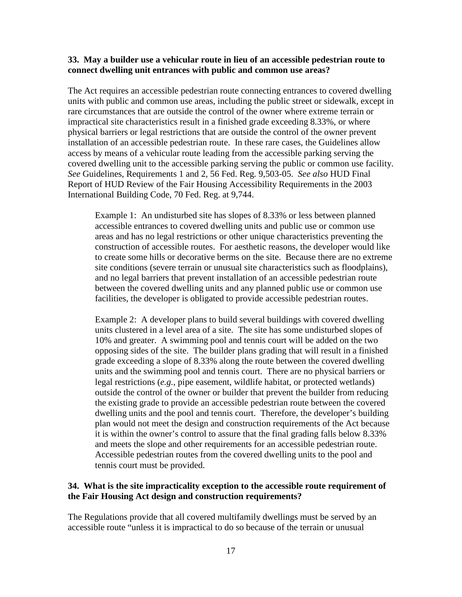#### **33. May a builder use a vehicular route in lieu of an accessible pedestrian route to connect dwelling unit entrances with public and common use areas?**

The Act requires an accessible pedestrian route connecting entrances to covered dwelling units with public and common use areas, including the public street or sidewalk, except in rare circumstances that are outside the control of the owner where extreme terrain or impractical site characteristics result in a finished grade exceeding 8.33%, or where physical barriers or legal restrictions that are outside the control of the owner prevent installation of an accessible pedestrian route. In these rare cases, the Guidelines allow access by means of a vehicular route leading from the accessible parking serving the covered dwelling unit to the accessible parking serving the public or common use facility. *See* Guidelines, Requirements 1 and 2, 56 Fed. Reg. 9,503-05. *See also* HUD Final Report of HUD Review of the Fair Housing Accessibility Requirements in the 2003 International Building Code, 70 Fed. Reg. at 9,744.

Example 1: An undisturbed site has slopes of 8.33% or less between planned accessible entrances to covered dwelling units and public use or common use areas and has no legal restrictions or other unique characteristics preventing the construction of accessible routes. For aesthetic reasons, the developer would like to create some hills or decorative berms on the site. Because there are no extreme site conditions (severe terrain or unusual site characteristics such as floodplains), and no legal barriers that prevent installation of an accessible pedestrian route between the covered dwelling units and any planned public use or common use facilities, the developer is obligated to provide accessible pedestrian routes.

Example 2: A developer plans to build several buildings with covered dwelling units clustered in a level area of a site. The site has some undisturbed slopes of 10% and greater. A swimming pool and tennis court will be added on the two opposing sides of the site. The builder plans grading that will result in a finished grade exceeding a slope of 8.33% along the route between the covered dwelling units and the swimming pool and tennis court. There are no physical barriers or legal restrictions (*e.g.*, pipe easement, wildlife habitat, or protected wetlands) outside the control of the owner or builder that prevent the builder from reducing the existing grade to provide an accessible pedestrian route between the covered dwelling units and the pool and tennis court. Therefore, the developer's building plan would not meet the design and construction requirements of the Act because it is within the owner's control to assure that the final grading falls below 8.33% and meets the slope and other requirements for an accessible pedestrian route. Accessible pedestrian routes from the covered dwelling units to the pool and tennis court must be provided.

### **34. What is the site impracticality exception to the accessible route requirement of the Fair Housing Act design and construction requirements?**

The Regulations provide that all covered multifamily dwellings must be served by an accessible route "unless it is impractical to do so because of the terrain or unusual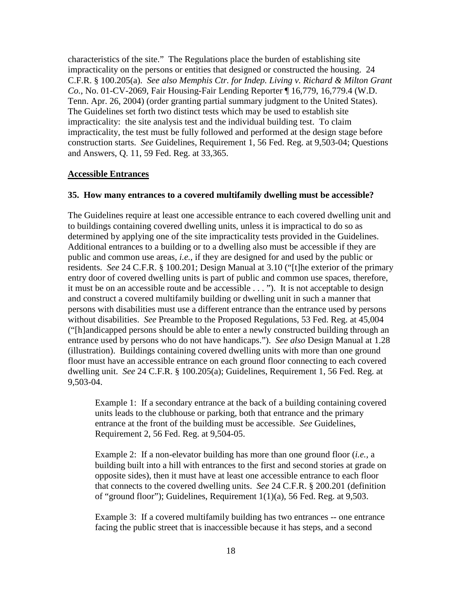characteristics of the site." The Regulations place the burden of establishing site impracticality on the persons or entities that designed or constructed the housing. 24 C.F.R. § 100.205(a). *See also Memphis Ctr. for Indep. Living v. Richard & Milton Grant Co.*, No. 01-CV-2069, Fair Housing-Fair Lending Reporter ¶ 16,779, 16,779.4 (W.D. Tenn. Apr. 26, 2004) (order granting partial summary judgment to the United States). The Guidelines set forth two distinct tests which may be used to establish site impracticality: the site analysis test and the individual building test. To claim impracticality, the test must be fully followed and performed at the design stage before construction starts. *See* Guidelines, Requirement 1, 56 Fed. Reg. at 9,503-04; Questions and Answers, Q. 11, 59 Fed. Reg. at 33,365.

#### **Accessible Entrances**

#### **35. How many entrances to a covered multifamily dwelling must be accessible?**

The Guidelines require at least one accessible entrance to each covered dwelling unit and to buildings containing covered dwelling units, unless it is impractical to do so as determined by applying one of the site impracticality tests provided in the Guidelines. Additional entrances to a building or to a dwelling also must be accessible if they are public and common use areas, *i.e.*, if they are designed for and used by the public or residents. *See* 24 C.F.R. § 100.201; Design Manual at 3.10 ("[t]he exterior of the primary entry door of covered dwelling units is part of public and common use spaces, therefore, it must be on an accessible route and be accessible . . . "). It is not acceptable to design and construct a covered multifamily building or dwelling unit in such a manner that persons with disabilities must use a different entrance than the entrance used by persons without disabilities. *See* Preamble to the Proposed Regulations, 53 Fed. Reg. at 45,004 ("[h]andicapped persons should be able to enter a newly constructed building through an entrance used by persons who do not have handicaps."). *See also* Design Manual at 1.28 (illustration). Buildings containing covered dwelling units with more than one ground floor must have an accessible entrance on each ground floor connecting to each covered dwelling unit. *See* 24 C.F.R. § 100.205(a); Guidelines, Requirement 1, 56 Fed. Reg. at 9,503-04.

Example 1: If a secondary entrance at the back of a building containing covered units leads to the clubhouse or parking, both that entrance and the primary entrance at the front of the building must be accessible. *See* Guidelines, Requirement 2, 56 Fed. Reg. at 9,504-05.

Example 2: If a non-elevator building has more than one ground floor (*i.e.,* a building built into a hill with entrances to the first and second stories at grade on opposite sides), then it must have at least one accessible entrance to each floor that connects to the covered dwelling units. *See* 24 C.F.R. § 200.201 (definition of "ground floor"); Guidelines, Requirement 1(1)(a), 56 Fed. Reg. at 9,503.

Example 3: If a covered multifamily building has two entrances -- one entrance facing the public street that is inaccessible because it has steps, and a second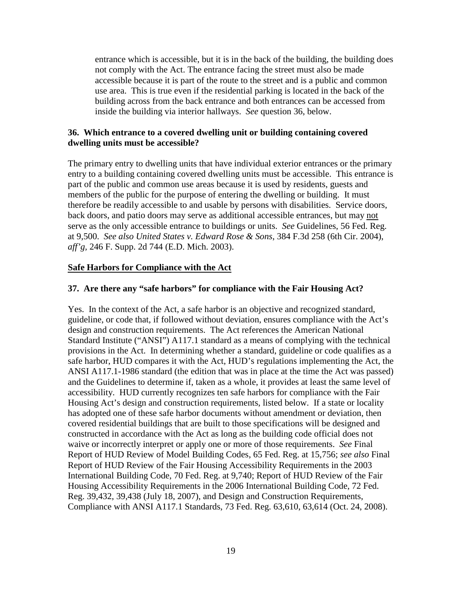entrance which is accessible, but it is in the back of the building, the building does not comply with the Act. The entrance facing the street must also be made accessible because it is part of the route to the street and is a public and common use area. This is true even if the residential parking is located in the back of the building across from the back entrance and both entrances can be accessed from inside the building via interior hallways. *See* question 36, below.

### **36. Which entrance to a covered dwelling unit or building containing covered dwelling units must be accessible?**

The primary entry to dwelling units that have individual exterior entrances or the primary entry to a building containing covered dwelling units must be accessible. This entrance is part of the public and common use areas because it is used by residents, guests and members of the public for the purpose of entering the dwelling or building. It must therefore be readily accessible to and usable by persons with disabilities. Service doors, back doors, and patio doors may serve as additional accessible entrances, but may not serve as the only accessible entrance to buildings or units. *See* Guidelines, 56 Fed. Reg. at 9,500. *See also United States v. Edward Rose & Sons*, 384 F.3d 258 (6th Cir. 2004), *aff'g,* 246 F. Supp. 2d 744 (E.D. Mich. 2003).

### **Safe Harbors for Compliance with the Act**

#### **37. Are there any "safe harbors" for compliance with the Fair Housing Act?**

Yes. In the context of the Act, a safe harbor is an objective and recognized standard, guideline, or code that, if followed without deviation, ensures compliance with the Act's design and construction requirements. The Act references the American National Standard Institute ("ANSI") A117.1 standard as a means of complying with the technical provisions in the Act. In determining whether a standard, guideline or code qualifies as a safe harbor, HUD compares it with the Act, HUD's regulations implementing the Act, the ANSI A117.1-1986 standard (the edition that was in place at the time the Act was passed) and the Guidelines to determine if, taken as a whole, it provides at least the same level of accessibility. HUD currently recognizes ten safe harbors for compliance with the Fair Housing Act's design and construction requirements, listed below. If a state or locality has adopted one of these safe harbor documents without amendment or deviation, then covered residential buildings that are built to those specifications will be designed and constructed in accordance with the Act as long as the building code official does not waive or incorrectly interpret or apply one or more of those requirements. *See* Final Report of HUD Review of Model Building Codes, 65 Fed. Reg. at 15,756; *see also* Final Report of HUD Review of the Fair Housing Accessibility Requirements in the 2003 International Building Code, 70 Fed. Reg. at 9,740; Report of HUD Review of the Fair Housing Accessibility Requirements in the 2006 International Building Code, 72 Fed. Reg. 39,432, 39,438 (July 18, 2007), and Design and Construction Requirements, Compliance with ANSI A117.1 Standards, 73 Fed. Reg. 63,610, 63,614 (Oct. 24, 2008).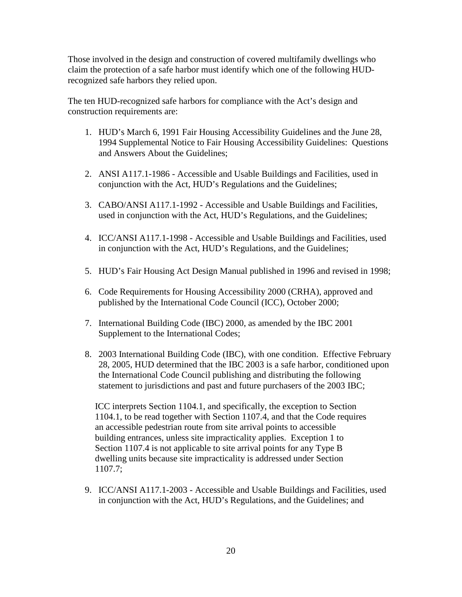Those involved in the design and construction of covered multifamily dwellings who claim the protection of a safe harbor must identify which one of the following HUDrecognized safe harbors they relied upon.

The ten HUD-recognized safe harbors for compliance with the Act's design and construction requirements are:

- 1. HUD's March 6, 1991 Fair Housing Accessibility Guidelines and the June 28, 1994 Supplemental Notice to Fair Housing Accessibility Guidelines: Questions and Answers About the Guidelines;
- 2. ANSI A117.1-1986 Accessible and Usable Buildings and Facilities, used in conjunction with the Act, HUD's Regulations and the Guidelines;
- 3. CABO/ANSI A117.1-1992 Accessible and Usable Buildings and Facilities, used in conjunction with the Act, HUD's Regulations, and the Guidelines;
- 4. ICC/ANSI A117.1-1998 Accessible and Usable Buildings and Facilities, used in conjunction with the Act, HUD's Regulations, and the Guidelines;
- 5. HUD's Fair Housing Act Design Manual published in 1996 and revised in 1998;
- 6. Code Requirements for Housing Accessibility 2000 (CRHA), approved and published by the International Code Council (ICC), October 2000;
- 7. International Building Code (IBC) 2000, as amended by the IBC 2001 Supplement to the International Codes;
- 8. 2003 International Building Code (IBC), with one condition. Effective February 28, 2005, HUD determined that the IBC 2003 is a safe harbor, conditioned upon the International Code Council publishing and distributing the following statement to jurisdictions and past and future purchasers of the 2003 IBC;

ICC interprets Section 1104.1, and specifically, the exception to Section 1104.1, to be read together with Section 1107.4, and that the Code requires an accessible pedestrian route from site arrival points to accessible building entrances, unless site impracticality applies. Exception 1 to Section 1107.4 is not applicable to site arrival points for any Type B dwelling units because site impracticality is addressed under Section 1107.7;

9. ICC/ANSI A117.1-2003 - Accessible and Usable Buildings and Facilities, used in conjunction with the Act, HUD's Regulations, and the Guidelines; and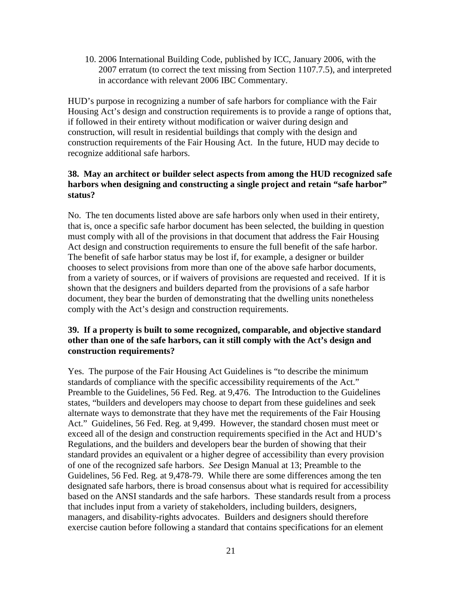10. 2006 International Building Code, published by ICC, January 2006, with the 2007 erratum (to correct the text missing from Section 1107.7.5), and interpreted in accordance with relevant 2006 IBC Commentary.

HUD's purpose in recognizing a number of safe harbors for compliance with the Fair Housing Act's design and construction requirements is to provide a range of options that, if followed in their entirety without modification or waiver during design and construction, will result in residential buildings that comply with the design and construction requirements of the Fair Housing Act. In the future, HUD may decide to recognize additional safe harbors.

### **38. May an architect or builder select aspects from among the HUD recognized safe harbors when designing and constructing a single project and retain "safe harbor" status?**

No. The ten documents listed above are safe harbors only when used in their entirety, that is, once a specific safe harbor document has been selected, the building in question must comply with all of the provisions in that document that address the Fair Housing Act design and construction requirements to ensure the full benefit of the safe harbor. The benefit of safe harbor status may be lost if, for example, a designer or builder chooses to select provisions from more than one of the above safe harbor documents, from a variety of sources, or if waivers of provisions are requested and received. If it is shown that the designers and builders departed from the provisions of a safe harbor document, they bear the burden of demonstrating that the dwelling units nonetheless comply with the Act's design and construction requirements.

### **39. If a property is built to some recognized, comparable, and objective standard other than one of the safe harbors, can it still comply with the Act's design and construction requirements?**

Yes. The purpose of the Fair Housing Act Guidelines is "to describe the minimum standards of compliance with the specific accessibility requirements of the Act." Preamble to the Guidelines, 56 Fed. Reg. at 9,476. The Introduction to the Guidelines states, "builders and developers may choose to depart from these guidelines and seek alternate ways to demonstrate that they have met the requirements of the Fair Housing Act." Guidelines, 56 Fed. Reg. at 9,499. However, the standard chosen must meet or exceed all of the design and construction requirements specified in the Act and HUD's Regulations, and the builders and developers bear the burden of showing that their standard provides an equivalent or a higher degree of accessibility than every provision of one of the recognized safe harbors. *See* [Design Manual at 13;](http://www.huduser.org/publications/destech/fairhousing.html) [Preamble to the](http://www.hud.gov/library/bookshelf09/fhefhag.cfm)  [Guidelines, 56 Fed. Reg.](http://www.hud.gov/library/bookshelf09/fhefhag.cfm) at 9,478-79. While there are some differences among the ten designated safe harbors, there is broad consensus about what is required for accessibility based on the ANSI standards and the safe harbors. These standards result from a process that includes input from a variety of stakeholders, including builders, designers, managers, and disability-rights advocates. Builders and designers should therefore exercise caution before following a standard that contains specifications for an element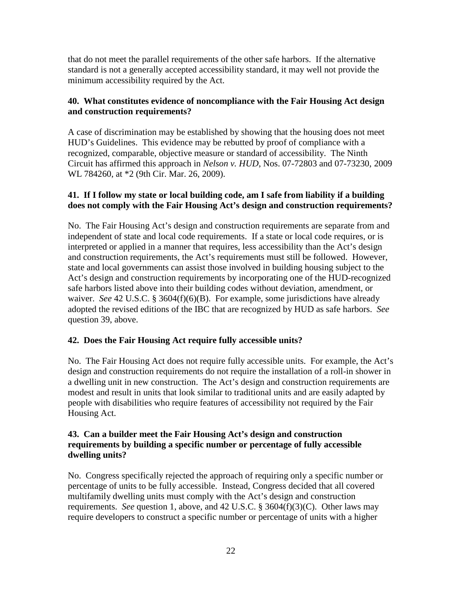that do not meet the parallel requirements of the other safe harbors. If the alternative standard is not a generally accepted accessibility standard, it may well not provide the minimum accessibility required by the Act.

## **40. What constitutes evidence of noncompliance with the Fair Housing Act design and construction requirements?**

A case of discrimination may be established by showing that the housing does not meet HUD's Guidelines. This evidence may be rebutted by proof of compliance with a recognized, comparable, objective measure or standard of accessibility. The Ninth Circuit has affirmed this approach in *Nelson v. HUD*, Nos. 07-72803 and 07-73230, 2009 WL 784260, at \*2 (9th Cir. Mar. 26, 2009).

## **41. If I follow my state or local building code, am I safe from liability if a building does not comply with the Fair Housing Act's design and construction requirements?**

No. The Fair Housing Act's design and construction requirements are separate from and independent of state and local code requirements. If a state or local code requires, or is interpreted or applied in a manner that requires, less accessibility than the Act's design and construction requirements, the Act's requirements must still be followed. However, state and local governments can assist those involved in building housing subject to the Act's design and construction requirements by incorporating one of the HUD-recognized safe harbors listed above into their building codes without deviation, amendment, or waiver. *See* 42 U.S.C. § 3604(f)(6)(B). For example, some jurisdictions have already adopted the revised editions of the IBC that are recognized by HUD as safe harbors. *See* question 39, above.

## **42. Does the Fair Housing Act require fully accessible units?**

No. The Fair Housing Act does not require fully accessible units. For example, the Act's design and construction requirements do not require the installation of a roll-in shower in a dwelling unit in new construction. The Act's design and construction requirements are modest and result in units that look similar to traditional units and are easily adapted by people with disabilities who require features of accessibility not required by the Fair Housing Act.

## **43. Can a builder meet the Fair Housing Act's design and construction requirements by building a specific number or percentage of fully accessible dwelling units?**

No. Congress specifically rejected the approach of requiring only a specific number or percentage of units to be fully accessible. Instead, Congress decided that all covered multifamily dwelling units must comply with the Act's design and construction requirements. *See* question 1, above, and 42 U.S.C. § 3604(f)(3)(C). Other laws may require developers to construct a specific number or percentage of units with a higher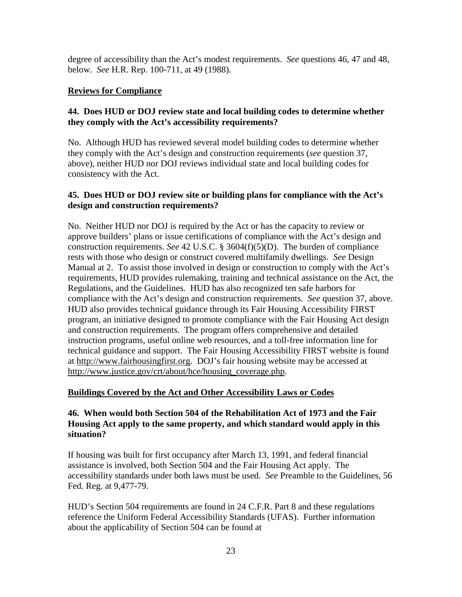degree of accessibility than the Act's modest requirements. *See* questions 46, 47 and 48, below. *See* H.R. Rep. 100-711, at 49 (1988).

## **Reviews for Compliance**

## **44. Does HUD or DOJ review state and local building codes to determine whether they comply with the Act's accessibility requirements?**

No. Although HUD has reviewed several model building codes to determine whether they comply with the Act's design and construction requirements (*see* question 37, above), neither HUD nor DOJ reviews individual state and local building codes for consistency with the Act.

## **45. Does HUD or DOJ review site or building plans for compliance with the Act's design and construction requirements?**

No. Neither HUD nor DOJ is required by the Act or has the capacity to review or approve builders' plans or issue certifications of compliance with the Act's design and construction requirements. *See* [42 U.S.C. § 3604\(f\)\(5\)\(D\).](http://www.usdoj.gov/crt/housing/title8.htm) The burden of compliance rests with those who design or construct covered multifamily dwellings. *See* [Design](http://www.huduser.org/publications/destech/fairhousing.html)  [Manual at 2.](http://www.huduser.org/publications/destech/fairhousing.html) To assist those involved in design or construction to comply with the Act's requirements, HUD provides rulemaking, training and technical assistance on the Act, the Regulations, and the Guidelines. HUD has also recognized ten safe harbors for compliance with the Act's design and construction requirements. *See* question 37, above. HUD also provides technical guidance through its Fair Housing Accessibility FIRST program, an initiative designed to promote compliance with the Fair Housing Act design and construction requirements. The program offers comprehensive and detailed instruction programs, useful online web resources, and a toll-free information line for technical guidance and support. The Fair Housing Accessibility FIRST website is found at http://www.fairhousingfirst.org. DOJ's fair housing website may be accessed at http://www.justice.gov/crt/about/hce/housing\_coverage.php.

### **Buildings Covered by the Act and Other Accessibility Laws or Codes**

## **46. When would both Section 504 of the Rehabilitation Act of 1973 and the Fair Housing Act apply to the same property, and which standard would apply in this situation?**

If housing was built for first occupancy after March 13, 1991, and federal financial assistance is involved, both Section 504 and the Fair Housing Act apply. The accessibility standards under both laws must be used. *See* [Preamble to the Guidelines, 56](http://www.hud.gov/library/bookshelf09/fhefhag.cfm)  [Fed. Reg.](http://www.hud.gov/library/bookshelf09/fhefhag.cfm) at 9,477-79.

HUD's Section 504 requirements are found in 24 C.F.R. Part 8 and these regulations reference the Uniform Federal Accessibility Standards (UFAS). Further information about the applicability of Section 504 can be found at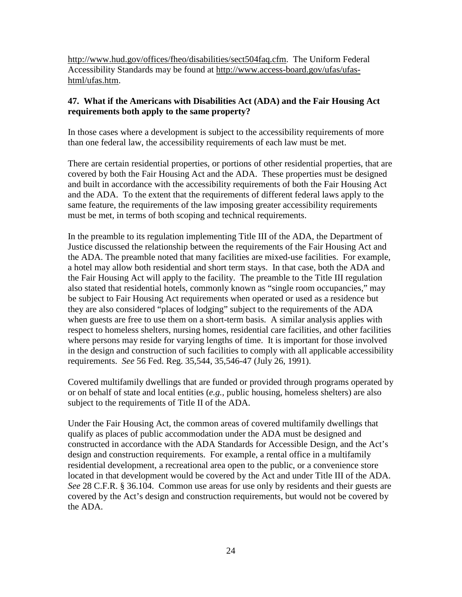http://www.hud.gov/offices/fheo/disabilities/sect504faq.cfm. The Uniform Federal Accessibility Standards may be found at http://www.access-board.gov/ufas/ufashtml/ufas.htm.

## **47. What if the Americans with Disabilities Act (ADA) and the Fair Housing Act requirements both apply to the same property?**

In those cases where a development is subject to the accessibility requirements of more than one federal law, the accessibility requirements of each law must be met.

There are certain residential properties, or portions of other residential properties, that are covered by both the Fair Housing Act and the ADA. These properties must be designed and built in accordance with the accessibility requirements of both the Fair Housing Act and the ADA. To the extent that the requirements of different federal laws apply to the same feature, the requirements of the law imposing greater accessibility requirements must be met, in terms of both scoping and technical requirements.

In the preamble to its regulation implementing Title III of the ADA, the Department of Justice discussed the relationship between the requirements of the Fair Housing Act and the ADA. The preamble noted that many facilities are mixed-use facilities. For example, a hotel may allow both residential and short term stays. In that case, both the ADA and the Fair Housing Act will apply to the facility. The preamble to the Title III regulation also stated that residential hotels, commonly known as "single room occupancies," may be subject to Fair Housing Act requirements when operated or used as a residence but they are also considered "places of lodging" subject to the requirements of the ADA when guests are free to use them on a short-term basis. A similar analysis applies with respect to homeless shelters, nursing homes, residential care facilities, and other facilities where persons may reside for varying lengths of time. It is important for those involved in the design and construction of such facilities to comply with all applicable accessibility requirements. *See* 56 Fed. Reg. [35,544, 35,546-47 \(July 26, 1991\).](http://www.usdoj.gov/crt/ada/reg3a.html#Anchor-Appendix-53283)

Covered multifamily dwellings that are funded or provided through programs operated by or on behalf of state and local entities (*e.g.,* public housing, homeless shelters) are also subject to the requirements of Title II of the ADA.

Under the Fair Housing Act, the common areas of covered multifamily dwellings that qualify as places of public accommodation under the ADA must be designed and constructed in accordance with the ADA Standards for Accessible Design, and the Act's design and construction requirements. For example, a rental office in a multifamily residential development, a recreational area open to the public, or a convenience store located in that development would be covered by the Act and under Title III of the ADA. *See* [28 C.F.R. § 36.104.](http://www.usdoj.gov/crt/ada/reg3a.html) Common use areas for use only by residents and their guests are covered by the Act's design and construction requirements, but would not be covered by the ADA.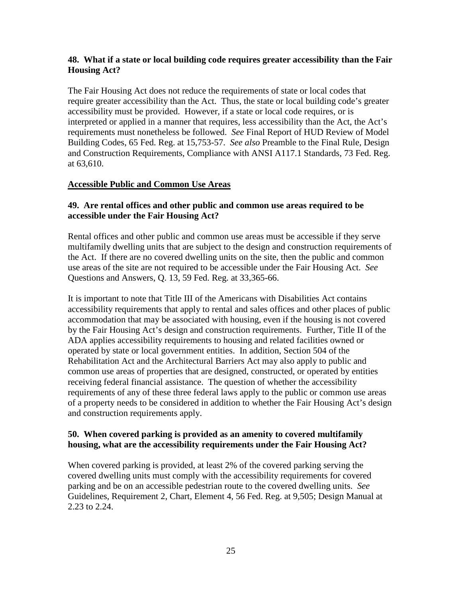## **48. What if a state or local building code requires greater accessibility than the Fair Housing Act?**

The Fair Housing Act does not reduce the requirements of state or local codes that require greater accessibility than the Act. Thus, the state or local building code's greater accessibility must be provided. However, if a state or local code requires, or is interpreted or applied in a manner that requires, less accessibility than the Act, the Act's requirements must nonetheless be followed. *See* Final Report of HUD Review of Model Building Codes, 65 Fed. Reg. at 15,753-57. *See also* Preamble to the Final Rule, Design and Construction Requirements, Compliance with ANSI A117.1 Standards, 73 Fed. Reg. at 63,610.

### **Accessible Public and Common Use Areas**

## **49. Are rental offices and other public and common use areas required to be accessible under the Fair Housing Act?**

Rental offices and other public and common use areas must be accessible if they serve multifamily dwelling units that are subject to the design and construction requirements of the Act. If there are no covered dwelling units on the site, then the public and common use areas of the site are not required to be accessible under the Fair Housing Act. *See*  Questions and Answers, Q. 13, 59 Fed. Reg. at 33,365-66.

It is important to note that Title III of the Americans with Disabilities Act contains accessibility requirements that apply to rental and sales offices and other places of public accommodation that may be associated with housing, even if the housing is not covered by the Fair Housing Act's design and construction requirements. Further, Title II of the ADA applies accessibility requirements to housing and related facilities owned or operated by state or local government entities. In addition, Section 504 of the Rehabilitation Act and the Architectural Barriers Act may also apply to public and common use areas of properties that are designed, constructed, or operated by entities receiving federal financial assistance. The question of whether the accessibility requirements of any of these three federal laws apply to the public or common use areas of a property needs to be considered in addition to whether the Fair Housing Act's design and construction requirements apply.

### **50. When covered parking is provided as an amenity to covered multifamily housing, what are the accessibility requirements under the Fair Housing Act?**

When covered parking is provided, at least 2% of the covered parking serving the covered dwelling units must comply with the accessibility requirements for covered parking and be on an accessible pedestrian route to the covered dwelling units. *See* Guidelines, Requirement 2, Chart, Element 4, 56 Fed. Reg. at 9,505; Design Manual at 2.23 to 2.24.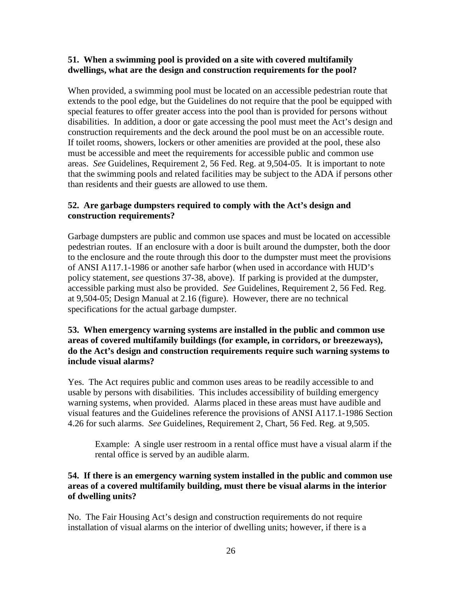## **51. When a swimming pool is provided on a site with covered multifamily dwellings, what are the design and construction requirements for the pool?**

When provided, a swimming pool must be located on an accessible pedestrian route that extends to the pool edge, but the Guidelines do not require that the pool be equipped with special features to offer greater access into the pool than is provided for persons without disabilities. In addition, a door or gate accessing the pool must meet the Act's design and construction requirements and the deck around the pool must be on an accessible route. If toilet rooms, showers, lockers or other amenities are provided at the pool, these also must be accessible and meet the requirements for accessible public and common use areas. *See* Guidelines, Requirement 2, 56 Fed. Reg. at 9,504-05. It is important to note that the swimming pools and related facilities may be subject to the ADA if persons other than residents and their guests are allowed to use them.

## **52. Are garbage dumpsters required to comply with the Act's design and construction requirements?**

Garbage dumpsters are public and common use spaces and must be located on accessible pedestrian routes. If an enclosure with a door is built around the dumpster, both the door to the enclosure and the route through this door to the dumpster must meet the provisions of ANSI A117.1-1986 or another safe harbor (when used in accordance with HUD's policy statement, *see* questions 37-38, above). If parking is provided at the dumpster, accessible parking must also be provided. *See* Guidelines, Requirement 2, 56 Fed. Reg. at 9,504-05; Design Manual at 2.16 (figure). However, there are no technical specifications for the actual garbage dumpster.

## **53. When emergency warning systems are installed in the public and common use areas of covered multifamily buildings (for example, in corridors, or breezeways), do the Act's design and construction requirements require such warning systems to include visual alarms?**

Yes. The Act requires public and common uses areas to be readily accessible to and usable by persons with disabilities. This includes accessibility of building emergency warning systems, when provided. Alarms placed in these areas must have audible and visual features and the Guidelines reference the provisions of ANSI A117.1-1986 Section 4.26 for such alarms. *See* Guidelines, Requirement 2, Chart, 56 Fed. Reg. at 9,505.

Example: A single user restroom in a rental office must have a visual alarm if the rental office is served by an audible alarm.

## **54. If there is an emergency warning system installed in the public and common use areas of a covered multifamily building, must there be visual alarms in the interior of dwelling units?**

No. The Fair Housing Act's design and construction requirements do not require installation of visual alarms on the interior of dwelling units; however, if there is a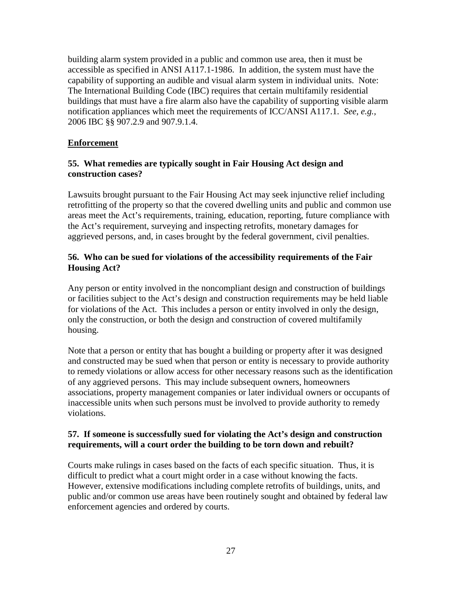building alarm system provided in a public and common use area, then it must be accessible as specified in ANSI A117.1-1986. In addition, the system must have the capability of supporting an audible and visual alarm system in individual units. Note: The International Building Code (IBC) requires that certain multifamily residential buildings that must have a fire alarm also have the capability of supporting visible alarm notification appliances which meet the requirements of ICC/ANSI A117.1. *See, e.g.,*  2006 IBC §§ 907.2.9 and 907.9.1.4.

## **Enforcement**

## **55. What remedies are typically sought in Fair Housing Act design and construction cases?**

Lawsuits brought pursuant to the Fair Housing Act may seek injunctive relief including retrofitting of the property so that the covered dwelling units and public and common use areas meet the Act's requirements, training, education, reporting, future compliance with the Act's requirement, surveying and inspecting retrofits, monetary damages for aggrieved persons, and, in cases brought by the federal government, civil penalties.

## **56. Who can be sued for violations of the accessibility requirements of the Fair Housing Act?**

Any person or entity involved in the noncompliant design and construction of buildings or facilities subject to the Act's design and construction requirements may be held liable for violations of the Act. This includes a person or entity involved in only the design, only the construction, or both the design and construction of covered multifamily housing.

Note that a person or entity that has bought a building or property after it was designed and constructed may be sued when that person or entity is necessary to provide authority to remedy violations or allow access for other necessary reasons such as the identification of any aggrieved persons. This may include subsequent owners, homeowners associations, property management companies or later individual owners or occupants of inaccessible units when such persons must be involved to provide authority to remedy violations.

## **57. If someone is successfully sued for violating the Act's design and construction requirements, will a court order the building to be torn down and rebuilt?**

Courts make rulings in cases based on the facts of each specific situation. Thus, it is difficult to predict what a court might order in a case without knowing the facts. However, extensive modifications including complete retrofits of buildings, units, and public and/or common use areas have been routinely sought and obtained by federal law enforcement agencies and ordered by courts.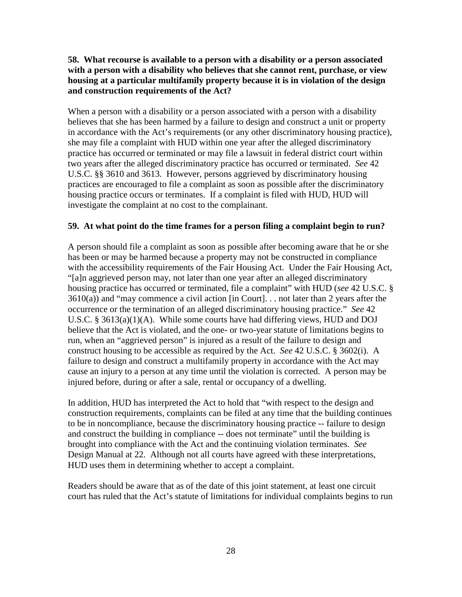## **58. What recourse is available to a person with a disability or a person associated with a person with a disability who believes that she cannot rent, purchase, or view housing at a particular multifamily property because it is in violation of the design and construction requirements of the Act?**

When a person with a disability or a person associated with a person with a disability believes that she has been harmed by a failure to design and construct a unit or property in accordance with the Act's requirements (or any other discriminatory housing practice), she may file a complaint with HUD within one year after the alleged discriminatory practice has occurred or terminated or may file a lawsuit in federal district court within two years after the alleged discriminatory practice has occurred or terminated. *See* 42 U.S.C. §§ 3610 and 3613. However, persons aggrieved by discriminatory housing practices are encouraged to file a complaint as soon as possible after the discriminatory housing practice occurs or terminates. If a complaint is filed with HUD, HUD will investigate the complaint at no cost to the complainant.

#### **59. At what point do the time frames for a person filing a complaint begin to run?**

A person should file a complaint as soon as possible after becoming aware that he or she has been or may be harmed because a property may not be constructed in compliance with the accessibility requirements of the Fair Housing Act. Under the Fair Housing Act, "[a]n aggrieved person may, not later than one year after an alleged discriminatory housing practice has occurred or terminated, file a complaint" with HUD (*see* 42 U.S.C. § 3610(a)) and "may commence a civil action [in Court]. . . not later than 2 years after the occurrence or the termination of an alleged discriminatory housing practice." *See* 42 U.S.C. § 3613(a)(1)(A). While some courts have had differing views, HUD and DOJ believe that the Act is violated, and the one- or two-year statute of limitations begins to run, when an "aggrieved person" is injured as a result of the failure to design and construct housing to be accessible as required by the Act. *See* 42 U.S.C. § 3602(i). A failure to design and construct a multifamily property in accordance with the Act may cause an injury to a person at any time until the violation is corrected. A person may be injured before, during or after a sale, rental or occupancy of a dwelling.

In addition, HUD has interpreted the Act to hold that "with respect to the design and construction requirements, complaints can be filed at any time that the building continues to be in noncompliance, because the discriminatory housing practice -- failure to design and construct the building in compliance -- does not terminate" until the building is brought into compliance with the Act and the continuing violation terminates. *See* Design Manual at 22. Although not all courts have agreed with these interpretations, HUD uses them in determining whether to accept a complaint.

Readers should be aware that as of the date of this joint statement, at least one circuit court has ruled that the Act's statute of limitations for individual complaints begins to run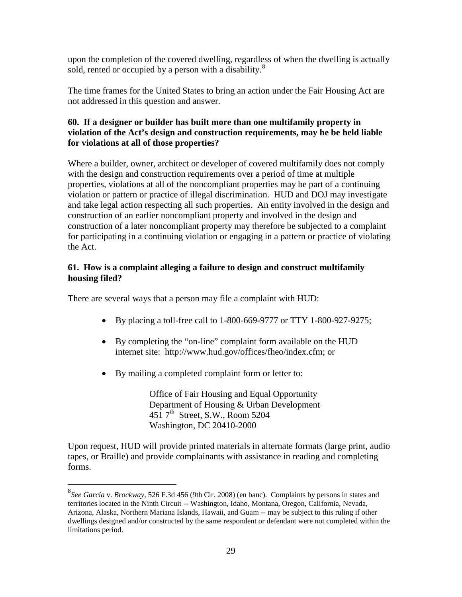upon the completion of the covered dwelling, regardless of when the dwelling is actually sold, rented or occupied by a person with a disability.<sup>[8](#page-28-0)</sup>

The time frames for the United States to bring an action under the Fair Housing Act are not addressed in this question and answer.

## **60. If a designer or builder has built more than one multifamily property in violation of the Act's design and construction requirements, may he be held liable for violations at all of those properties?**

Where a builder, owner, architect or developer of covered multifamily does not comply with the design and construction requirements over a period of time at multiple properties, violations at all of the noncompliant properties may be part of a continuing violation or pattern or practice of illegal discrimination. HUD and DOJ may investigate and take legal action respecting all such properties. An entity involved in the design and construction of an earlier noncompliant property and involved in the design and construction of a later noncompliant property may therefore be subjected to a complaint for participating in a continuing violation or engaging in a pattern or practice of violating the Act.

## **61. How is a complaint alleging a failure to design and construct multifamily housing filed?**

There are several ways that a person may file a complaint with HUD:

- By placing a toll-free call to 1-800-669-9777 or TTY 1-800-927-9275;
- By completing the "on-line" complaint form available on the HUD internet site: http://www.hud.gov/offices/fheo/index.cfm; or
- By mailing a completed complaint form or letter to:

Office of Fair Housing and Equal Opportunity Department of Housing & Urban Development  $451$  7<sup>th</sup> Street, S.W., Room 5204 Washington, DC 20410-2000

Upon request, HUD will provide printed materials in alternate formats (large print, audio tapes, or Braille) and provide complainants with assistance in reading and completing forms.

<span id="page-28-0"></span> <sup>8</sup> *See Garcia* v. *Brockway*, 526 F.3d 456 (9th Cir. 2008) (en banc). Complaints by persons in states and territories located in the Ninth Circuit -- Washington, Idaho, Montana, Oregon, California, Nevada, Arizona, Alaska, Northern Mariana Islands, Hawaii, and Guam -- may be subject to this ruling if other dwellings designed and/or constructed by the same respondent or defendant were not completed within the limitations period.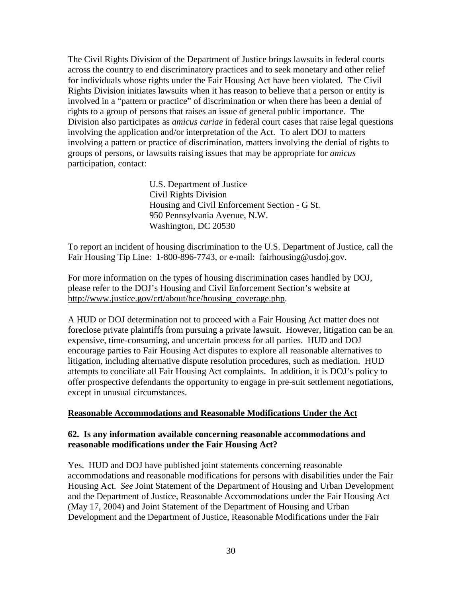The Civil Rights Division of the Department of Justice brings lawsuits in federal courts across the country to end discriminatory practices and to seek monetary and other relief for individuals whose rights under the Fair Housing Act have been violated. The Civil Rights Division initiates lawsuits when it has reason to believe that a person or entity is involved in a "pattern or practice" of discrimination or when there has been a denial of rights to a group of persons that raises an issue of general public importance. The Division also participates as *amicus curiae* in federal court cases that raise legal questions involving the application and/or interpretation of the Act. To alert DOJ to matters involving a pattern or practice of discrimination, matters involving the denial of rights to groups of persons, or lawsuits raising issues that may be appropriate for *amicus*  participation, contact:

> U.S. Department of Justice Civil Rights Division Housing and Civil Enforcement Section - G St. 950 Pennsylvania Avenue, N.W. Washington, DC 20530

To report an incident of housing discrimination to the U.S. Department of Justice, call the Fair Housing Tip Line: 1-800-896-7743, or e-mail: fairhousing@usdoj.gov.

For more information on the types of housing discrimination cases handled by DOJ, please refer to the DOJ's Housing and Civil Enforcement Section's website at http://www.justice.gov/crt/about/hce/housing\_coverage.php.

A HUD or DOJ determination not to proceed with a Fair Housing Act matter does not foreclose private plaintiffs from pursuing a private lawsuit. However, litigation can be an expensive, time-consuming, and uncertain process for all parties. HUD and DOJ encourage parties to Fair Housing Act disputes to explore all reasonable alternatives to litigation, including alternative dispute resolution procedures, such as mediation. HUD attempts to conciliate all Fair Housing Act complaints. In addition, it is DOJ's policy to offer prospective defendants the opportunity to engage in pre-suit settlement negotiations, except in unusual circumstances.

### **Reasonable Accommodations and Reasonable Modifications Under the Act**

### **62. Is any information available concerning reasonable accommodations and reasonable modifications under the Fair Housing Act?**

Yes. HUD and DOJ have published joint statements concerning reasonable accommodations and reasonable modifications for persons with disabilities under the Fair Housing Act. *See* Joint Statement of the Department of Housing and Urban Development and the Department of Justice, Reasonable Accommodations under the Fair Housing Act (May 17, 2004) and Joint Statement of the Department of Housing and Urban Development and the Department of Justice, Reasonable Modifications under the Fair